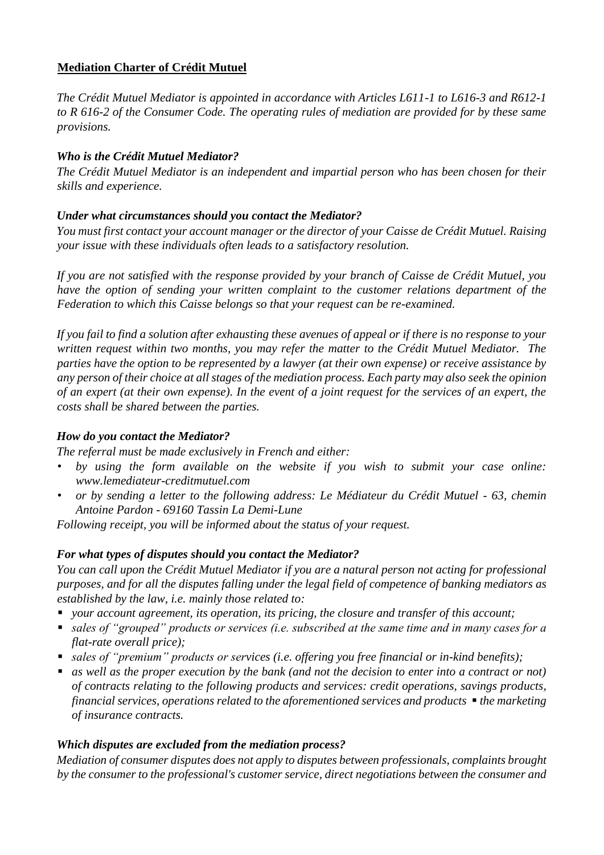# **Mediation Charter of Crédit Mutuel**

*The Crédit Mutuel Mediator is appointed in accordance with Articles L611-1 to L616-3 and R612-1 to R 616-2 of the Consumer Code. The operating rules of mediation are provided for by these same provisions.* 

# *Who is the Crédit Mutuel Mediator?*

*The Crédit Mutuel Mediator is an independent and impartial person who has been chosen for their skills and experience.* 

# *Under what circumstances should you contact the Mediator?*

*You must first contact your account manager or the director of your Caisse de Crédit Mutuel. Raising your issue with these individuals often leads to a satisfactory resolution.* 

*If you are not satisfied with the response provided by your branch of Caisse de Crédit Mutuel, you have the option of sending your written complaint to the customer relations department of the Federation to which this Caisse belongs so that your request can be re-examined.* 

*If you fail to find a solution after exhausting these avenues of appeal or if there is no response to your written request within two months, you may refer the matter to the Crédit Mutuel Mediator. The parties have the option to be represented by a lawyer (at their own expense) or receive assistance by any person of their choice at all stages of the mediation process. Each party may also seek the opinion of an expert (at their own expense). In the event of a joint request for the services of an expert, the costs shall be shared between the parties.*

## *How do you contact the Mediator?*

*The referral must be made exclusively in French and either:* 

- *by using the form available on the website if you wish to submit your case online: www.lemediateur-creditmutuel.com*
- *or by sending a letter to the following address: Le Médiateur du Crédit Mutuel - 63, chemin Antoine Pardon - 69160 Tassin La Demi-Lune*

*Following receipt, you will be informed about the status of your request.* 

## *For what types of disputes should you contact the Mediator?*

*You can call upon the Crédit Mutuel Mediator if you are a natural person not acting for professional purposes, and for all the disputes falling under the legal field of competence of banking mediators as established by the law, i.e. mainly those related to:* 

- *your account agreement, its operation, its pricing, the closure and transfer of this account;*
- sales of "grouped" products or services (*i.e.* subscribed at the same time and in many cases for a *flat-rate overall price);*
- *sales of "premium" products or services (i.e. offering you free financial or in-kind benefits)*;
- *as well as the proper execution by the bank (and not the decision to enter into a contract or not) of contracts relating to the following products and services: credit operations, savings products, financial services, operations related to the aforementioned services and products* ▪ *the marketing of insurance contracts.*

## *Which disputes are excluded from the mediation process?*

*Mediation of consumer disputes does not apply to disputes between professionals, complaints brought by the consumer to the professional's customer service, direct negotiations between the consumer and*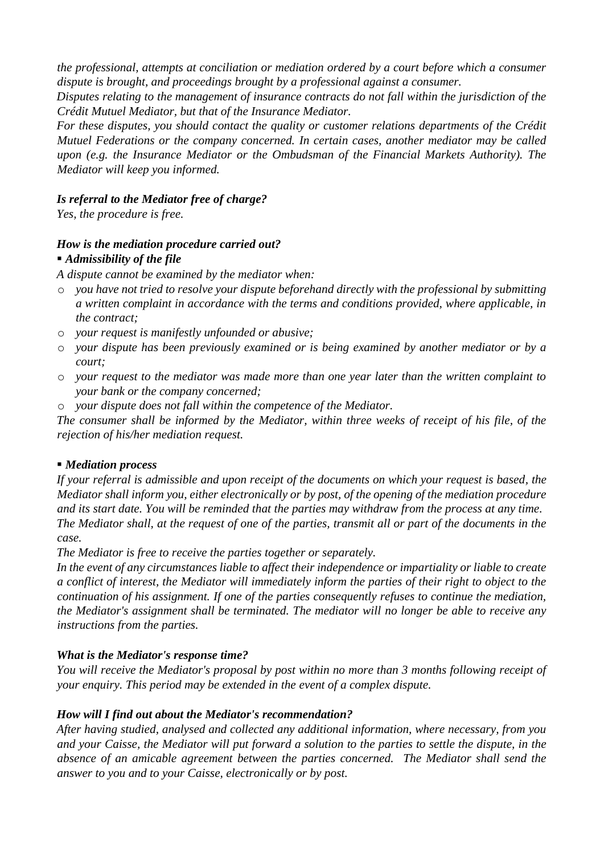*the professional, attempts at conciliation or mediation ordered by a court before which a consumer dispute is brought, and proceedings brought by a professional against a consumer.* 

*Disputes relating to the management of insurance contracts do not fall within the jurisdiction of the Crédit Mutuel Mediator, but that of the Insurance Mediator.* 

*For these disputes, you should contact the quality or customer relations departments of the Crédit Mutuel Federations or the company concerned. In certain cases, another mediator may be called upon (e.g. the Insurance Mediator or the Ombudsman of the Financial Markets Authority). The Mediator will keep you informed.* 

## *Is referral to the Mediator free of charge?*

*Yes, the procedure is free.* 

## *How is the mediation procedure carried out?*

### ■ *Admissibility of the file*

*A dispute cannot be examined by the mediator when:* 

- o *you have not tried to resolve your dispute beforehand directly with the professional by submitting a written complaint in accordance with the terms and conditions provided, where applicable, in the contract;*
- o *your request is manifestly unfounded or abusive;*
- o *your dispute has been previously examined or is being examined by another mediator or by a court;*
- o *your request to the mediator was made more than one year later than the written complaint to your bank or the company concerned;*
- o *your dispute does not fall within the competence of the Mediator.*

*The consumer shall be informed by the Mediator, within three weeks of receipt of his file, of the rejection of his/her mediation request.* 

#### ▪ *Mediation process*

*If your referral is admissible and upon receipt of the documents on which your request is based, the Mediator shall inform you, either electronically or by post, of the opening of the mediation procedure and its start date. You will be reminded that the parties may withdraw from the process at any time. The Mediator shall, at the request of one of the parties, transmit all or part of the documents in the case.* 

*The Mediator is free to receive the parties together or separately.* 

*In the event of any circumstances liable to affect their independence or impartiality or liable to create a conflict of interest, the Mediator will immediately inform the parties of their right to object to the continuation of his assignment. If one of the parties consequently refuses to continue the mediation, the Mediator's assignment shall be terminated. The mediator will no longer be able to receive any instructions from the parties.* 

## *What is the Mediator's response time?*

*You will receive the Mediator's proposal by post within no more than 3 months following receipt of your enquiry. This period may be extended in the event of a complex dispute.* 

## *How will I find out about the Mediator's recommendation?*

*After having studied, analysed and collected any additional information, where necessary, from you and your Caisse, the Mediator will put forward a solution to the parties to settle the dispute, in the absence of an amicable agreement between the parties concerned. The Mediator shall send the answer to you and to your Caisse, electronically or by post.*